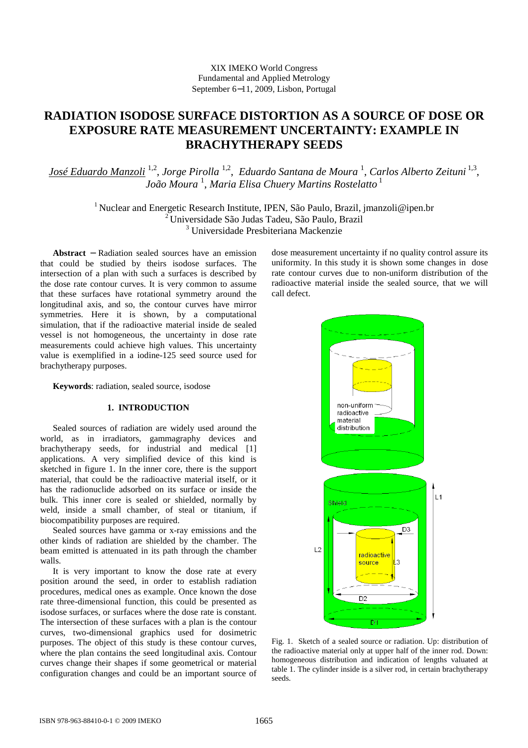# **RADIATION ISODOSE SURFACE DISTORTION AS A SOURCE OF DOSE OR EXPOSURE RATE MEASUREMENT UNCERTAINTY: EXAMPLE IN BRACHYTHERAPY SEEDS**

*José Eduardo Manzoli* 1,2 , *Jorge Pirolla* 1,2 , *Eduardo Santana de Moura* <sup>1</sup> , *Carlos Alberto Zeituni* 1,3 , *João Moura* <sup>1</sup> , *Maria Elisa Chuery Martins Rostelatto*<sup>1</sup>

> <sup>1</sup> Nuclear and Energetic Research Institute, IPEN, São Paulo, Brazil, jmanzoli@ipen.br <sup>2</sup>Universidade São Judas Tadeu, São Paulo, Brazil 3 Universidade Presbiteriana Mackenzie

**Abstract** − Radiation sealed sources have an emission that could be studied by theirs isodose surfaces. The intersection of a plan with such a surfaces is described by the dose rate contour curves. It is very common to assume that these surfaces have rotational symmetry around the longitudinal axis, and so, the contour curves have mirror symmetries. Here it is shown, by a computational simulation, that if the radioactive material inside de sealed vessel is not homogeneous, the uncertainty in dose rate measurements could achieve high values. This uncertainty value is exemplified in a iodine-125 seed source used for brachytherapy purposes.

**Keywords**: radiation, sealed source, isodose

# **1. INTRODUCTION**

Sealed sources of radiation are widely used around the world, as in irradiators, gammagraphy devices and brachytherapy seeds, for industrial and medical [1] applications. A very simplified device of this kind is sketched in figure 1. In the inner core, there is the support material, that could be the radioactive material itself, or it has the radionuclide adsorbed on its surface or inside the bulk. This inner core is sealed or shielded, normally by weld, inside a small chamber, of steal or titanium, if biocompatibility purposes are required.

Sealed sources have gamma or x-ray emissions and the other kinds of radiation are shielded by the chamber. The beam emitted is attenuated in its path through the chamber walls.

It is very important to know the dose rate at every position around the seed, in order to establish radiation procedures, medical ones as example. Once known the dose rate three-dimensional function, this could be presented as isodose surfaces, or surfaces where the dose rate is constant. The intersection of these surfaces with a plan is the contour curves, two-dimensional graphics used for dosimetric purposes. The object of this study is these contour curves, where the plan contains the seed longitudinal axis. Contour curves change their shapes if some geometrical or material configuration changes and could be an important source of

dose measurement uncertainty if no quality control assure its uniformity. In this study it is shown some changes in dose rate contour curves due to non-uniform distribution of the radioactive material inside the sealed source, that we will call defect.



Fig. 1. Sketch of a sealed source or radiation. Up: distribution of the radioactive material only at upper half of the inner rod. Down: homogeneous distribution and indication of lengths valuated at table 1. The cylinder inside is a silver rod, in certain brachytherapy seeds.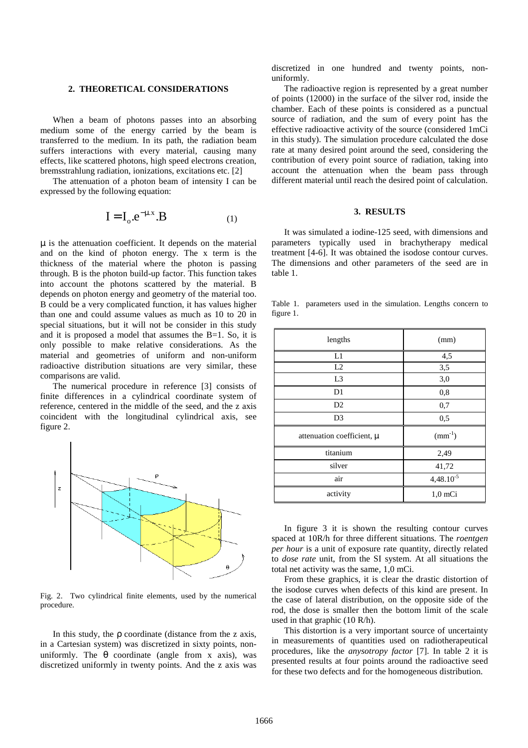## **2. THEORETICAL CONSIDERATIONS**

When a beam of photons passes into an absorbing medium some of the energy carried by the beam is transferred to the medium. In its path, the radiation beam suffers interactions with every material, causing many effects, like scattered photons, high speed electrons creation, bremsstrahlung radiation, ionizations, excitations etc. [2]

The attenuation of a photon beam of intensity I can be expressed by the following equation:

$$
\mathbf{I} = \mathbf{I}_{0} \cdot \mathbf{e}^{-\mu \cdot x} \cdot \mathbf{B}
$$
 (1)

µ is the attenuation coefficient. It depends on the material and on the kind of photon energy. The x term is the thickness of the material where the photon is passing through. B is the photon build-up factor. This function takes into account the photons scattered by the material. B depends on photon energy and geometry of the material too. B could be a very complicated function, it has values higher than one and could assume values as much as 10 to 20 in special situations, but it will not be consider in this study and it is proposed a model that assumes the B=1. So, it is only possible to make relative considerations. As the material and geometries of uniform and non-uniform radioactive distribution situations are very similar, these comparisons are valid.

The numerical procedure in reference [3] consists of finite differences in a cylindrical coordinate system of reference, centered in the middle of the seed, and the z axis coincident with the longitudinal cylindrical axis, see figure 2.



Fig. 2. Two cylindrical finite elements, used by the numerical procedure.

In this study, the  $\rho$  coordinate (distance from the z axis, in a Cartesian system) was discretized in sixty points, nonuniformly. The  $\theta$  coordinate (angle from x axis), was discretized uniformly in twenty points. And the z axis was discretized in one hundred and twenty points, nonuniformly.

 The radioactive region is represented by a great number of points (12000) in the surface of the silver rod, inside the chamber. Each of these points is considered as a punctual source of radiation, and the sum of every point has the effective radioactive activity of the source (considered 1mCi in this study). The simulation procedure calculated the dose rate at many desired point around the seed, considering the contribution of every point source of radiation, taking into account the attenuation when the beam pass through different material until reach the desired point of calculation.

#### **3. RESULTS**

It was simulated a iodine-125 seed, with dimensions and parameters typically used in brachytherapy medical treatment [4-6]. It was obtained the isodose contour curves. The dimensions and other parameters of the seed are in table 1.

Table 1. parameters used in the simulation. Lengths concern to figure 1.

| lengths                    | (mm)           |  |
|----------------------------|----------------|--|
| L1                         | 4,5            |  |
| L2                         | 3,5            |  |
| L <sub>3</sub>             | 3,0            |  |
| D1                         | 0,8            |  |
| D2                         | 0,7            |  |
| D <sub>3</sub>             | 0,5            |  |
| attenuation coefficient, µ | $(mm^{-1})$    |  |
| titanium                   | 2,49           |  |
| silver                     | 41,72          |  |
| air                        | $4,48.10^{-5}$ |  |
| activity                   | $1,0$ mCi      |  |

In figure 3 it is shown the resulting contour curves spaced at 10R/h for three different situations. The *roentgen per hour* is a unit of exposure rate quantity, directly related to *dose rate* unit, from the SI system. At all situations the total net activity was the same, 1,0 mCi.

From these graphics, it is clear the drastic distortion of the isodose curves when defects of this kind are present. In the case of lateral distribution, on the opposite side of the rod, the dose is smaller then the bottom limit of the scale used in that graphic (10 R/h).

This distortion is a very important source of uncertainty in measurements of quantities used on radiotherapeutical procedures, like the *anysotropy factor* [7]. In table 2 it is presented results at four points around the radioactive seed for these two defects and for the homogeneous distribution.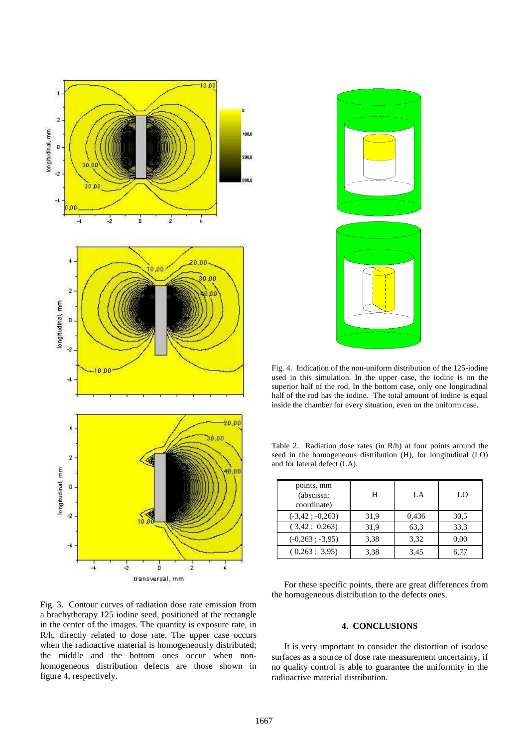

Fig. 4. Indication of the non-uniform distribution of the 125-iodine used in this simulation. In the upper case, the iodine is on the superior half of the rod. In the bottom case, only one longitudinal half of the rod has the iodine. The total amount of iodine is equal inside the chamber for every situation, even on the uniform case.

Table 2. Radiation dose rates (in R/h) at four points around the seed in the homogeneous distribution (H), for longitudinal (LO) and for lateral defect (LA).

| points, mm<br>(abscissa;<br>coordinate) | Н    | LA    | LO   |
|-----------------------------------------|------|-------|------|
| $(-3, 42 \div 0, 263)$                  | 31,9 | 0,436 | 30,5 |
| (3,42; 0,263)                           | 31,9 | 63,3  | 33.3 |
| $(-0,263; -3,95)$                       | 3,38 | 3,32  | 0,00 |
| $(0.263 \div 3.95)$                     | 3,38 | 3,45  | 6.77 |

Fig. 3. Contour curves of radiation dose rate emission from a brachytherapy 125 iodine seed, positioned at the rectangle in the center of the images. The quantity is exposure rate, in R/h, directly related to dose rate. The upper case occurs when the radioactive material is homogeneously distributed; the middle and the bottom ones occur when nonhomogeneous distribution defects are those shown in figure 4, respectively.

For these specific points, there are great differences from the homogeneous distribution to the defects ones.

# **4. CONCLUSIONS**

It is very important to consider the distortion of isodose surfaces as a source of dose rate measurement uncertainty, if no quality control is able to guarantee the uniformity in the radioactive material distribution.